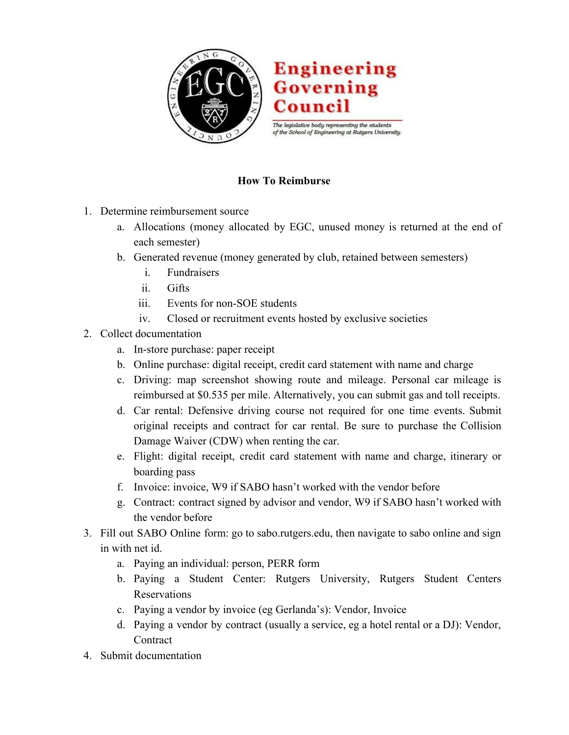

## **How To Reimburse**

- 1. Determine reimbursement source
	- a. Allocations (money allocated by EGC, unused money is returned at the end of each semester)
	- b. Generated revenue (money generated by club, retained between semesters)
		- i. Fundraisers
		- ii. Gifts
		- iii. Events for non-SOE students
		- iv. Closed or recruitment events hosted by exclusive societies
- 2. Collect documentation
	- a. In-store purchase: paper receipt
	- b. Online purchase: digital receipt, credit card statement with name and charge
	- c. Driving: map screenshot showing route and mileage. Personal car mileage is reimbursed at \$0.535 per mile. Alternatively, you can submit gas and toll receipts.
	- d. Car rental: Defensive driving course not required for one time events. Submit original receipts and contract for car rental. Be sure to purchase the Collision Damage Waiver (CDW) when renting the car.
	- e. Flight: digital receipt, credit card statement with name and charge, itinerary or boarding pass
	- f. Invoice: invoice, W9 if SABO hasn't worked with the vendor before
	- g. Contract: contract signed by advisor and vendor, W9 if SABO hasn't worked with the vendor before
- 3. Fill out SABO Online form: go to sabo.rutgers.edu, then navigate to sabo online and sign in with net id.
	- a. Paying an individual: person, PERR form
	- b. Paying a Student Center: Rutgers University, Rutgers Student Centers Reservations
	- c. Paying a vendor by invoice (eg Gerlanda's): Vendor, Invoice
	- d. Paying a vendor by contract (usually a service, eg a hotel rental or a DJ): Vendor, **Contract**
- 4. Submit documentation